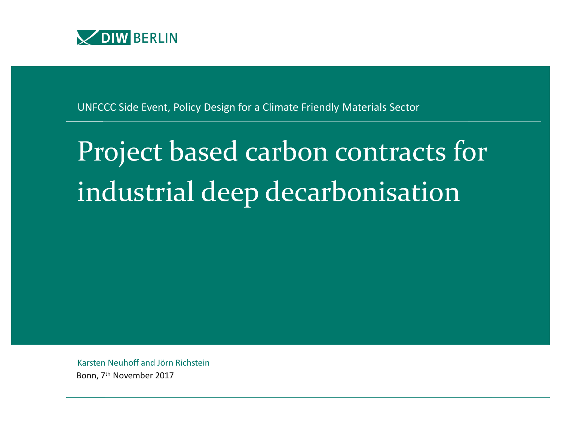

UNFCCC Side Event, Policy Design for a Climate Friendly Materials Sector

## Project based carbon contracts for industrial deep decarbonisation

Karsten Neuhoff and Jörn Richstein Bonn, 7th November 2017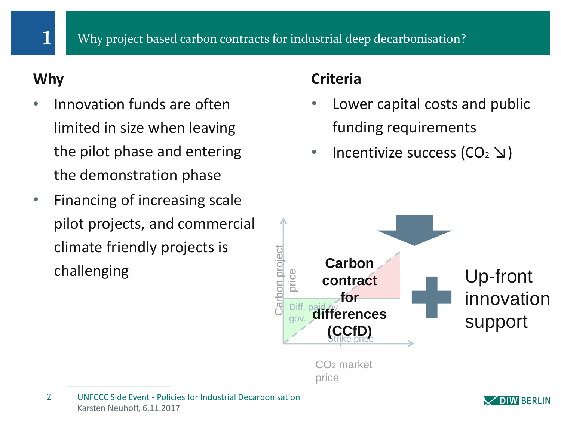## **Why**

- Innovation funds are often limited in size when leaving the pilot phase and entering the demonstration phase
- Financing of increasing scale pilot projects, and commercial climate friendly projects is challenging

## **Criteria**

- Lower capital costs and public funding requirements
- **Incentivize success (CO<sub>2</sub>**  $\Delta$ )



Karsten Neuhoff, 6.11.2017 2 UNFCCC Side Event - Policies for Industrial Decarbonisation

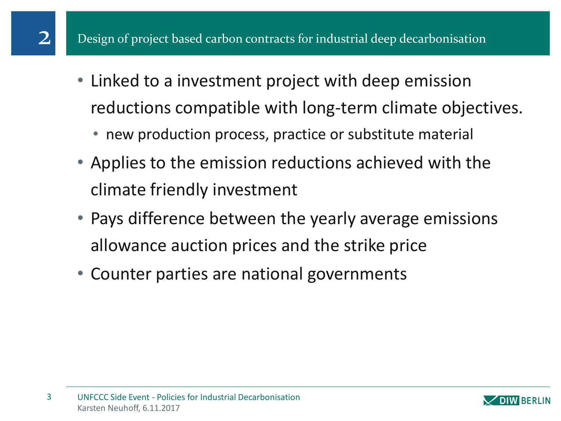- Linked to a investment project with deep emission reductions compatible with long-term climate objectives.
	- new production process, practice or substitute material
- Applies to the emission reductions achieved with the climate friendly investment
- Pays difference between the yearly average emissions allowance auction prices and the strike price
- Counter parties are national governments

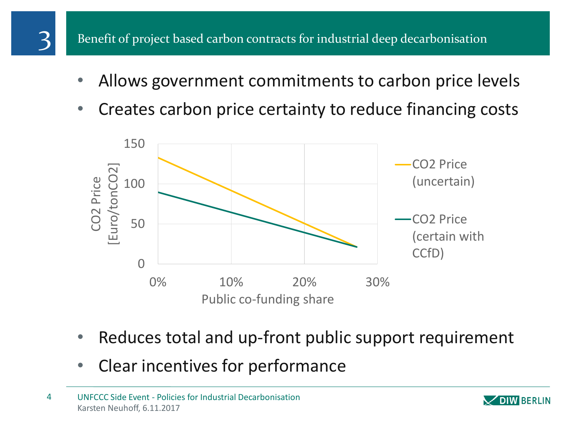

- Allows government commitments to carbon price levels
- Creates carbon price certainty to reduce financing costs



- Reduces total and up-front public support requirement
- Clear incentives for performance

Karsten Neuhoff, 6.11.2017 4 UNFCCC Side Event - Policies for Industrial Decarbonisation